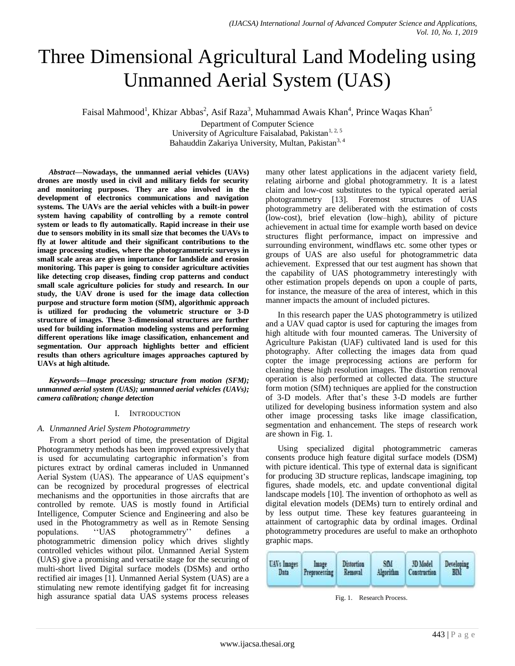# Three Dimensional Agricultural Land Modeling using Unmanned Aerial System (UAS)

Faisal Mahmood<sup>1</sup>, Khizar Abbas<sup>2</sup>, Asif Raza<sup>3</sup>, Muhammad Awais Khan<sup>4</sup>, Prince Waqas Khan<sup>5</sup>

Department of Computer Science University of Agriculture Faisalabad, Pakistan<sup>1, 2, 5</sup> [Bahauddin Zakariya University, Multan, Pakistan](http://www.bzu.edu.pk/)<sup>3, 4</sup>

*Abstract***—Nowadays, the unmanned aerial vehicles (UAVs) drones are mostly used in civil and military fields for security and monitoring purposes. They are also involved in the development of electronics communications and navigation systems. The UAVs are the aerial vehicles with a built-in power system having capability of controlling by a remote control system or leads to fly automatically. Rapid increase in their use due to sensors mobility in its small size that becomes the UAVs to fly at lower altitude and their significant contributions to the image processing studies, where the photogrammetric surveys in small scale areas are given importance for landslide and erosion monitoring. This paper is going to consider agriculture activities like detecting crop diseases, finding crop patterns and conduct small scale agriculture policies for study and research. In our study, the UAV drone is used for the image data collection purpose and structure form motion (SfM), algorithmic approach is utilized for producing the volumetric structure or 3-D structure of images. These 3-dimensional structures are further used for building information modeling systems and performing different operations like image classification, enhancement and segmentation. Our approach highlights better and efficient results than others agriculture images approaches captured by UAVs at high altitude.**

*Keywords—Image processing; structure from motion (SFM); unmanned aerial system (UAS); unmanned aerial vehicles (UAVs); camera calibration; change detection*

# I. INTRODUCTION

# *A. Unmanned Ariel System Photogrammetry*

From a short period of time, the presentation of Digital Photogrammetry methods has been improved expressively that is used for accumulating cartographic information's from pictures extract by ordinal cameras included in Unmanned Aerial System (UAS). The appearance of UAS equipment's can be recognized by procedural progresses of electrical mechanisms and the opportunities in those aircrafts that are controlled by remote. UAS is mostly found in Artificial Intelligence, Computer Science and Engineering and also be used in the Photogrammetry as well as in Remote Sensing<br>populations. <br>"UAS photogrammetry" defines a populations. ''UAS photogrammetry'' defines a photogrammetric dimension policy which drives slightly controlled vehicles without pilot. Unmanned Aerial System (UAS) give a promising and versatile stage for the securing of multi-short lived Digital surface models (DSMs) and ortho rectified air images [1]. Unmanned Aerial System (UAS) are a stimulating new remote identifying gadget fit for increasing high assurance spatial data UAS systems process releases many other latest applications in the adjacent variety field, relating airborne and global photogrammetry. It is a latest claim and low-cost substitutes to the typical operated aerial photogrammetry [13]. Foremost structures of UAS photogrammetry are deliberated with the estimation of costs (low-cost), brief elevation (low–high), ability of picture achievement in actual time for example worth based on device structures flight performance, impact on impressive and surrounding environment, windflaws etc. some other types or groups of UAS are also useful for photogrammetric data achievement. Expressed that our test augment has shown that the capability of UAS photogrammetry interestingly with other estimation propels depends on upon a couple of parts, for instance, the measure of the area of interest, which in this manner impacts the amount of included pictures.

In this research paper the UAS photogrammetry is utilized and a UAV quad captor is used for capturing the images from high altitude with four mounted cameras. The University of Agriculture Pakistan (UAF) cultivated land is used for this photography. After collecting the images data from quad copter the image preprocessing actions are perform for cleaning these high resolution images. The distortion removal operation is also performed at collected data. The structure form motion (SfM) techniques are applied for the construction of 3-D models. After that's these 3-D models are further utilized for developing business information system and also other image processing tasks like image classification, segmentation and enhancement. The steps of research work are shown in Fig. 1.

Using specialized digital photogrammetric cameras consents produce high feature digital surface models (DSM) with picture identical. This type of external data is significant for producing 3D structure replicas, landscape imagining, top figures, shade models, etc. and update conventional digital landscape models [10]. The invention of orthophoto as well as digital elevation models (DEMs) turn to entirely ordinal and by less output time. These key features guaranteeing in attainment of cartographic data by ordinal images. Ordinal photogrammetry procedures are useful to make an orthophoto graphic maps.



Fig. 1. Research Process.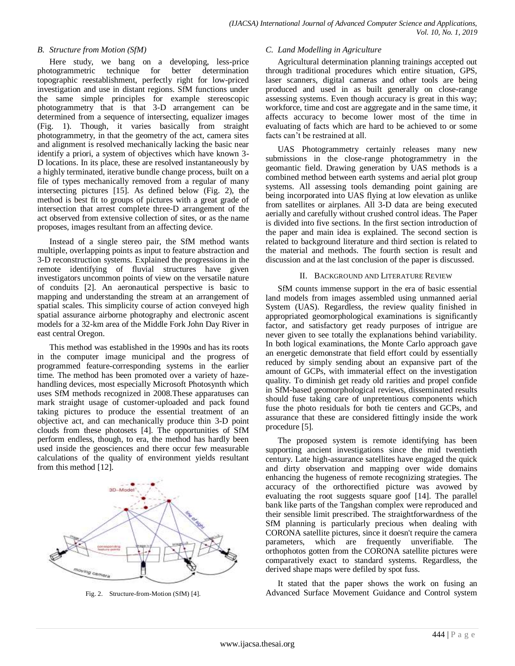# *B. Structure from Motion (SfM)*

Here study, we bang on a developing, less-price photogrammetric technique for better determination topographic reestablishment, perfectly right for low-priced investigation and use in distant regions. SfM functions under the same simple principles for example stereoscopic photogrammetry that is that 3-D arrangement can be determined from a sequence of intersecting, equalizer images (Fig. 1). Though, it varies basically from straight photogrammetry, in that the geometry of the act, camera sites and alignment is resolved mechanically lacking the basic near identify a priori, a system of objectives which have known 3- D locations. In its place, these are resolved instantaneously by a highly terminated, iterative bundle change process, built on a file of types mechanically removed from a regular of many intersecting pictures [15]. As defined below (Fig. 2), the method is best fit to groups of pictures with a great grade of intersection that arrest complete three-D arrangement of the act observed from extensive collection of sites, or as the name proposes, images resultant from an affecting device.

Instead of a single stereo pair, the SfM method wants multiple, overlapping points as input to feature abstraction and 3-D reconstruction systems. Explained the progressions in the remote identifying of fluvial structures have given investigators uncommon points of view on the versatile nature of conduits [2]. An aeronautical perspective is basic to mapping and understanding the stream at an arrangement of spatial scales. This simplicity course of action conveyed high spatial assurance airborne photography and electronic ascent models for a 32-km area of the Middle Fork John Day River in east central Oregon.

This method was established in the 1990s and has its roots in the computer image municipal and the progress of programmed feature-corresponding systems in the earlier time. The method has been promoted over a variety of hazehandling devices, most especially Microsoft Photosynth which uses SfM methods recognized in 2008.These apparatuses can mark straight usage of customer-uploaded and pack found taking pictures to produce the essential treatment of an objective act, and can mechanically produce thin 3-D point clouds from these photosets [4]. The opportunities of SfM perform endless, though, to era, the method has hardly been used inside the geosciences and there occur few measurable calculations of the quality of environment yields resultant from this method [12].



Fig. 2. Structure-from-Motion (SfM) [4].

# *C. Land Modelling in Agriculture*

Agricultural determination planning trainings accepted out through traditional procedures which entire situation, GPS, laser scanners, digital cameras and other tools are being produced and used in as built generally on close-range assessing systems. Even though accuracy is great in this way; workforce, time and cost are aggregate and in the same time, it affects accuracy to become lower most of the time in evaluating of facts which are hard to be achieved to or some facts can't be restrained at all.

UAS Photogrammetry certainly releases many new submissions in the close-range photogrammetry in the geomantic field. Drawing generation by UAS methods is a combined method between earth systems and aerial plot group systems. All assessing tools demanding point gaining are being incorporated into UAS flying at low elevation as unlike from satellites or airplanes. All 3-D data are being executed aerially and carefully without crushed control ideas. The Paper is divided into five sections. In the first section introduction of the paper and main idea is explained. The second section is related to background literature and third section is related to the material and methods. The fourth section is result and discussion and at the last conclusion of the paper is discussed.

# II. BACKGROUND AND LITERATURE REVIEW

SfM counts immense support in the era of basic essential land models from images assembled using unmanned aerial System (UAS). Regardless, the review quality finished in appropriated geomorphological examinations is significantly factor, and satisfactory get ready purposes of intrigue are never given to see totally the explanations behind variability. In both logical examinations, the Monte Carlo approach gave an energetic demonstrate that field effort could by essentially reduced by simply sending about an expansive part of the amount of GCPs, with immaterial effect on the investigation quality. To diminish get ready old rarities and propel confide in SfM-based geomorphological reviews, disseminated results should fuse taking care of unpretentious components which fuse the photo residuals for both tie centers and GCPs, and assurance that these are considered fittingly inside the work procedure [5].

The proposed system is remote identifying has been supporting ancient investigations since the mid twentieth century. Late high-assurance satellites have engaged the quick and dirty observation and mapping over wide domains enhancing the hugeness of remote recognizing strategies. The accuracy of the orthorectified picture was avowed by evaluating the root suggests square goof [14]. The parallel bank like parts of the Tangshan complex were reproduced and their sensible limit prescribed. The straightforwardness of the SfM planning is particularly precious when dealing with CORONA satellite pictures, since it doesn't require the camera parameters, which are frequently unverifiable. The orthophotos gotten from the CORONA satellite pictures were comparatively exact to standard systems. Regardless, the derived shape maps were defiled by spot fuss.

It stated that the paper shows the work on fusing an Advanced Surface Movement Guidance and Control system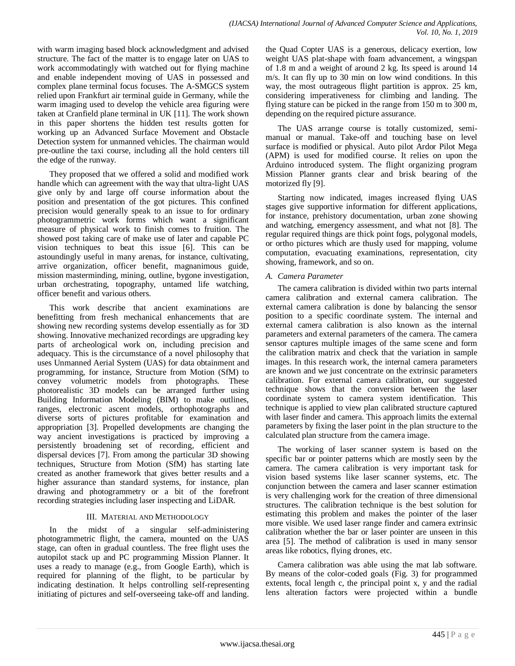with warm imaging based block acknowledgment and advised structure. The fact of the matter is to engage later on UAS to work accommodatingly with watched out for flying machine and enable independent moving of UAS in possessed and complex plane terminal focus focuses. The A-SMGCS system relied upon Frankfurt air terminal guide in Germany, while the warm imaging used to develop the vehicle area figuring were taken at Cranfield plane terminal in UK [11]. The work shown in this paper shortens the hidden test results gotten for working up an Advanced Surface Movement and Obstacle Detection system for unmanned vehicles. The chairman would pre-outline the taxi course, including all the hold centers till the edge of the runway.

They proposed that we offered a solid and modified work handle which can agreement with the way that ultra-light UAS give only by and large off course information about the position and presentation of the got pictures. This confined precision would generally speak to an issue to for ordinary photogrammetric work forms which want a significant measure of physical work to finish comes to fruition. The showed post taking care of make use of later and capable PC vision techniques to beat this issue [6]. This can be astoundingly useful in many arenas, for instance, cultivating, arrive organization, officer benefit, magnanimous guide, mission masterminding, mining, outline, bygone investigation, urban orchestrating, topography, untamed life watching, officer benefit and various others.

This work describe that ancient examinations are benefitting from fresh mechanical enhancements that are showing new recording systems develop essentially as for 3D showing. Innovative mechanized recordings are upgrading key parts of archeological work on, including precision and adequacy. This is the circumstance of a novel philosophy that uses Unmanned Aerial System (UAS) for data obtainment and programming, for instance, Structure from Motion (SfM) to convey volumetric models from photographs. These photorealistic 3D models can be arranged further using Building Information Modeling (BIM) to make outlines, ranges, electronic ascent models, orthophotographs and diverse sorts of pictures profitable for examination and appropriation [3]. Propelled developments are changing the way ancient investigations is practiced by improving a persistently broadening set of recording, efficient and dispersal devices [7]. From among the particular 3D showing techniques, Structure from Motion (SfM) has starting late created as another framework that gives better results and a higher assurance than standard systems, for instance, plan drawing and photogrammetry or a bit of the forefront recording strategies including laser inspecting and LiDAR.

# III. MATERIAL AND METHODOLOGY

In the midst of a singular self-administering photogrammetric flight, the camera, mounted on the UAS stage, can often in gradual countless. The free flight uses the autopilot stack up and PC programming Mission Planner. It uses a ready to manage (e.g., from Google Earth), which is required for planning of the flight, to be particular by indicating destination. It helps controlling self-representing initiating of pictures and self-overseeing take-off and landing. the Quad Copter UAS is a generous, delicacy exertion, low weight UAS plat-shape with foam advancement, a wingspan of 1.8 m and a weight of around 2 kg. Its speed is around 14 m/s. It can fly up to 30 min on low wind conditions. In this way, the most outrageous flight partition is approx. 25 km, considering imperativeness for climbing and landing. The flying stature can be picked in the range from 150 m to 300 m, depending on the required picture assurance.

The UAS arrange course is totally customized, semimanual or manual. Take-off and touching base on level surface is modified or physical. Auto pilot Ardor Pilot Mega (APM) is used for modified course. It relies on upon the Arduino introduced system. The flight organizing program Mission Planner grants clear and brisk bearing of the motorized fly [9].

Starting now indicated, images increased flying UAS stages give supportive information for different applications, for instance, prehistory documentation, urban zone showing and watching, emergency assessment, and what not [8]. The regular required things are thick point fogs, polygonal models, or ortho pictures which are thusly used for mapping, volume computation, evacuating examinations, representation, city showing, framework, and so on.

# *A. Camera Parameter*

The camera calibration is divided within two parts internal camera calibration and external camera calibration. The external camera calibration is done by balancing the sensor position to a specific coordinate system. The internal and external camera calibration is also known as the internal parameters and external parameters of the camera. The camera sensor captures multiple images of the same scene and form the calibration matrix and check that the variation in sample images. In this research work, the internal camera parameters are known and we just concentrate on the extrinsic parameters calibration. For external camera calibration, our suggested technique shows that the conversion between the laser coordinate system to camera system identification. This technique is applied to view plan calibrated structure captured with laser finder and camera. This approach limits the external parameters by fixing the laser point in the plan structure to the calculated plan structure from the camera image.

The working of laser scanner system is based on the specific bar or pointer patterns which are mostly seen by the camera. The camera calibration is very important task for vision based systems like laser scanner systems, etc. The conjunction between the camera and laser scanner estimation is very challenging work for the creation of three dimensional structures. The calibration technique is the best solution for estimating this problem and makes the pointer of the laser more visible. We used laser range finder and camera extrinsic calibration whether the bar or laser pointer are unseen in this area [5]. The method of calibration is used in many sensor areas like robotics, flying drones, etc.

Camera calibration was able using the mat lab software. By means of the color-coded goals (Fig. 3) for programmed extents, focal length c, the principal point x, y and the radial lens alteration factors were projected within a bundle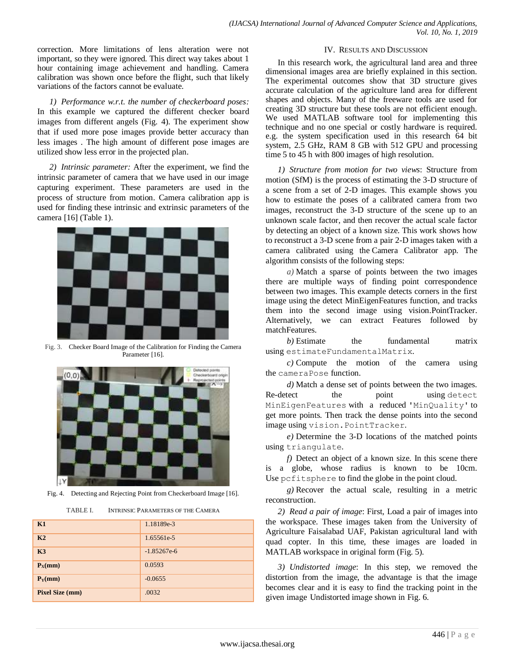correction. More limitations of lens alteration were not important, so they were ignored. This direct way takes about 1 hour containing image achievement and handling. Camera calibration was shown once before the flight, such that likely variations of the factors cannot be evaluate.

*1) Performance w.r.t. the number of checkerboard poses:* In this example we captured the different checker board images from different angels (Fig. 4). The experiment show that if used more pose images provide better accuracy than less images . The high amount of different pose images are utilized show less error in the projected plan.

*2) Intrinsic parameter:* After the experiment, we find the intrinsic parameter of camera that we have used in our image capturing experiment. These parameters are used in the process of structure from motion. Camera calibration app is used for finding these intrinsic and extrinsic parameters of the camera [16] (Table 1).



Fig. 3. Checker Board Image of the Calibration for Finding the Camera Parameter [16].



Fig. 4. Detecting and Rejecting Point from Checkerboard Image [16].

| TABLE I. | INTRINSIC PARAMETERS OF THE CAMERA |
|----------|------------------------------------|
|          |                                    |

| K1                     | 1.18189e-3    |
|------------------------|---------------|
| K <sub>2</sub>         | 1.65561e-5    |
| K3                     | $-1.85267e-6$ |
| $P_X(nm)$              | 0.0593        |
| $P_Y$ (mm)             | $-0.0655$     |
| <b>Pixel Size (mm)</b> | .0032         |

#### IV. RESULTS AND DISCUSSION

In this research work, the agricultural land area and three dimensional images area are briefly explained in this section. The experimental outcomes show that 3D structure gives accurate calculation of the agriculture land area for different shapes and objects. Many of the freeware tools are used for creating 3D structure but these tools are not efficient enough. We used MATLAB software tool for implementing this technique and no one special or costly hardware is required. e.g. the system specification used in this research 64 bit system, 2.5 GHz, RAM 8 GB with 512 GPU and processing time 5 to 45 h with 800 images of high resolution.

*1) Structure from motion for two views*: Structure from motion (SfM) is the process of estimating the 3-D structure of a scene from a set of 2-D images. This example shows you how to estimate the poses of a calibrated camera from two images, reconstruct the 3-D structure of the scene up to an unknown scale factor, and then recover the actual scale factor by detecting an object of a known size. This work shows how to reconstruct a 3-D scene from a pair 2-D images taken with a camera calibrated using the [Camera Calibrator app.](matlab:helpview(fullfile(docroot,) The algorithm consists of the following steps:

*a)* Match a sparse of points between the two images there are multiple ways of finding point correspondence between two images. This example detects corners in the first image using the detect MinEigenFeatures function, and tracks them into the second image using vision.PointTracker. Alternatively, we can extract Features followed by matchFeatures.

*b*) Estimate the fundamental matrix using estimateFundamentalMatrix.

*c)* Compute the motion of the camera using the cameraPose function.

*d)* Match a dense set of points between the two images. Re-detect the point using detect MinEigenFeatures with a reduced 'MinQuality' to get more points. Then track the dense points into the second image using vision.PointTracker.

*e)* Determine the 3-D locations of the matched points using triangulate.

*f)* Detect an object of a known size. In this scene there is a globe, whose radius is known to be 10cm. Use pcfitsphere to find the globe in the point cloud.

*g)* Recover the actual scale, resulting in a metric reconstruction.

*2) Read a pair of image*: First, Load a pair of images into the workspace. These images taken from the University of Agriculture Faisalabad UAF, Pakistan agricultural land with quad copter. In this time, these images are loaded in MATLAB workspace in original form (Fig. 5).

*3) Undistorted image*: In this step, we removed the distortion from the image, the advantage is that the image becomes clear and it is easy to find the tracking point in the given image Undistorted image shown in Fig. 6.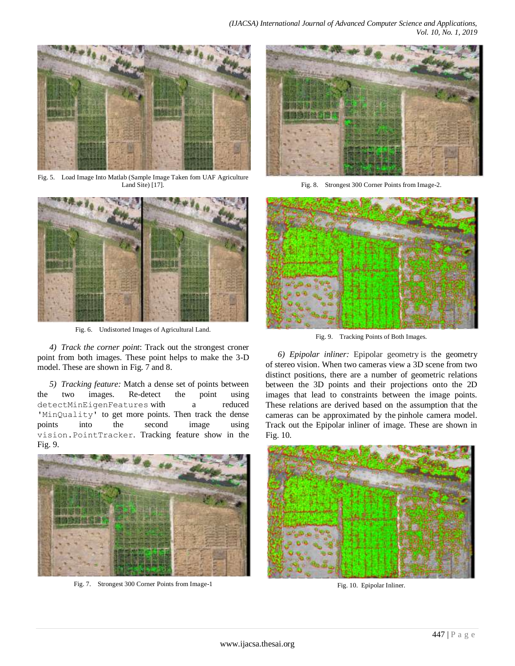

Fig. 5. Load Image Into Matlab (Sample Image Taken fom UAF Agriculture Land Site) [17].



Fig. 6. Undistorted Images of Agricultural Land.

*4) Track the corner point*: Track out the strongest croner point from both images. These point helps to make the 3-D model. These are shown in Fig. 7 and 8.

*5) Tracking feature:* Match a dense set of points between the two images. Re-detect the point using detectMinEigenFeatures with a reduced 'MinQuality' to get more points. Then track the dense points into the second image using vision.PointTracker. Tracking feature show in the Fig. 9.



Fig. 7. Strongest 300 Corner Points from Image-1



Fig. 8. Strongest 300 Corner Points from Image-2.



Fig. 9. Tracking Points of Both Images.

*6) Epipolar inliner:* Epipolar geometry is the geometry of [stereo vision.](https://en.wikipedia.org/wiki/Stereo_vision#Computer_stereo_vision) When two cameras view a 3D scene from two distinct positions, there are a number of geometric relations between the 3D points and their projections onto the 2D images that lead to constraints between the image points. These relations are derived based on the assumption that the cameras can be approximated by the [pinhole camera model.](https://en.wikipedia.org/wiki/Pinhole_camera_model) Track out the Epipolar inliner of image. These are shown in Fig. 10.



Fig. 10. Epipolar Inliner.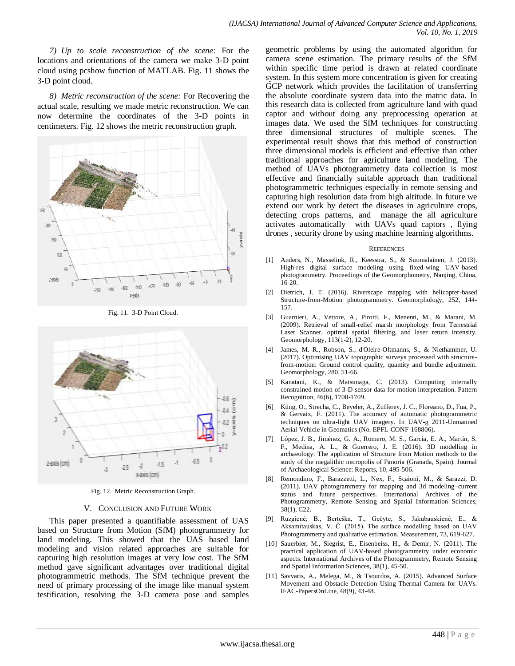*7) Up to scale reconstruction of the scene:* For the locations and orientations of the camera we make 3-D point cloud using pcshow function of MATLAB. Fig. 11 shows the 3-D point cloud.

*8) Metric reconstruction of the scene:* For Recovering the actual scale, resulting we made metric reconstruction. We can now determine the coordinates of the 3-D points in centimeters. Fig. 12 shows the metric reconstruction graph.



Fig. 11. 3-D Point Cloud.

![](_page_5_Figure_5.jpeg)

Fig. 12. Metric Reconstruction Graph.

# V. CONCLUSION AND FUTURE WORK

This paper presented a quantifiable assessment of UAS based on Structure from Motion (SfM) photogrammetry for land modeling. This showed that the UAS based land modeling and vision related approaches are suitable for capturing high resolution images at very low cost. The SfM method gave significant advantages over traditional digital photogrammetric methods. The SfM technique prevent the need of primary processing of the image like manual system testification, resolving the 3-D camera pose and samples geometric problems by using the automated algorithm for camera scene estimation. The primary results of the SfM within specific time period is drawn at related coordinate system. In this system more concentration is given for creating GCP network which provides the facilitation of transferring the absolute coordinate system data into the matric data. In this research data is collected from agriculture land with quad captor and without doing any preprocessing operation at images data. We used the SfM techniques for constructing three dimensional structures of multiple scenes. The experimental result shows that this method of construction three dimensional models is efficient and effective than other traditional approaches for agriculture land modeling. The method of UAVs photogrammetry data collection is most effective and financially suitable approach than traditional photogrammetric techniques especially in remote sensing and capturing high resolution data from high altitude. In future we extend our work by detect the diseases in agriculture crops, detecting crops patterns, and manage the all agriculture activates automatically with UAVs quad captors , flying drones , security drone by using machine learning algorithms.

#### **REFERENCES**

- [1] Anders, N., Masselink, R., Keesstra, S., & Suomalainen, J. (2013). High-res digital surface modeling using fixed-wing UAV-based photogrammetry. Proceedings of the Geomorphometry, Nanjing, China, 16-20.
- [2] Dietrich, J. T. (2016). Riverscape mapping with helicopter-based Structure-from-Motion photogrammetry. Geomorphology, 252, 144- 157.
- [3] Guarnieri, A., Vettore, A., Pirotti, F., Menenti, M., & Marani, M. (2009). Retrieval of small-relief marsh morphology from Terrestrial Laser Scanner, optimal spatial filtering, and laser return intensity. Geomorphology, 113(1-2), 12-20.
- [4] James, M. R., Robson, S., d'Oleire-Oltmanns, S., & Niethammer, U. (2017). Optimising UAV topographic surveys processed with structurefrom-motion: Ground control quality, quantity and bundle adjustment. Geomorphology, 280, 51-66.
- [5] Kanatani, K., & Matsunaga, C. (2013). Computing internally constrained motion of 3-D sensor data for motion interpretation. Pattern Recognition, 46(6), 1700-1709.
- [6] Küng, O., Strecha, C., Beyeler, A., Zufferey, J. C., Floreano, D., Fua, P., & Gervaix, F. (2011). The accuracy of automatic photogrammetric techniques on ultra-light UAV imagery. In UAV-g 2011-Unmanned Aerial Vehicle in Geomatics (No. EPFL-CONF-168806).
- [7] López, J. B., Jiménez, G. A., Romero, M. S., García, E. A., Martín, S. F., Medina, A. L., & Guerrero, J. E. (2016). 3D modelling in archaeology: The application of Structure from Motion methods to the study of the megalithic necropolis of Panoria (Granada, Spain). Journal of Archaeological Science: Reports, 10, 495-506.
- [8] Remondino, F., Barazzetti, L., Nex, F., Scaioni, M., & Sarazzi, D. (2011). UAV photogrammetry for mapping and 3d modeling–current status and future perspectives. International Archives of the Photogrammetry, Remote Sensing and Spatial Information Sciences, 38(1), C22.
- [9] Ruzgienė, B., Berteška, T., Gečyte, S., Jakubauskienė, E., & Aksamitauskas, V. Č. (2015). The surface modelling based on UAV Photogrammetry and qualitative estimation. Measurement, 73, 619-627.
- [10] Sauerbier, M., Siegrist, E., Eisenbeiss, H., & Demir, N. (2011). The practical application of UAV-based photogrammetry under economic aspects. International Archives of the Photogrammetry, Remote Sensing and Spatial Information Sciences, 38(1), 45-50.
- [11] Savvaris, A., Melega, M., & Tsourdos, A. (2015). Advanced Surface Movement and Obstacle Detection Using Thermal Camera for UAVs. IFAC-PapersOnLine, 48(9), 43-48.